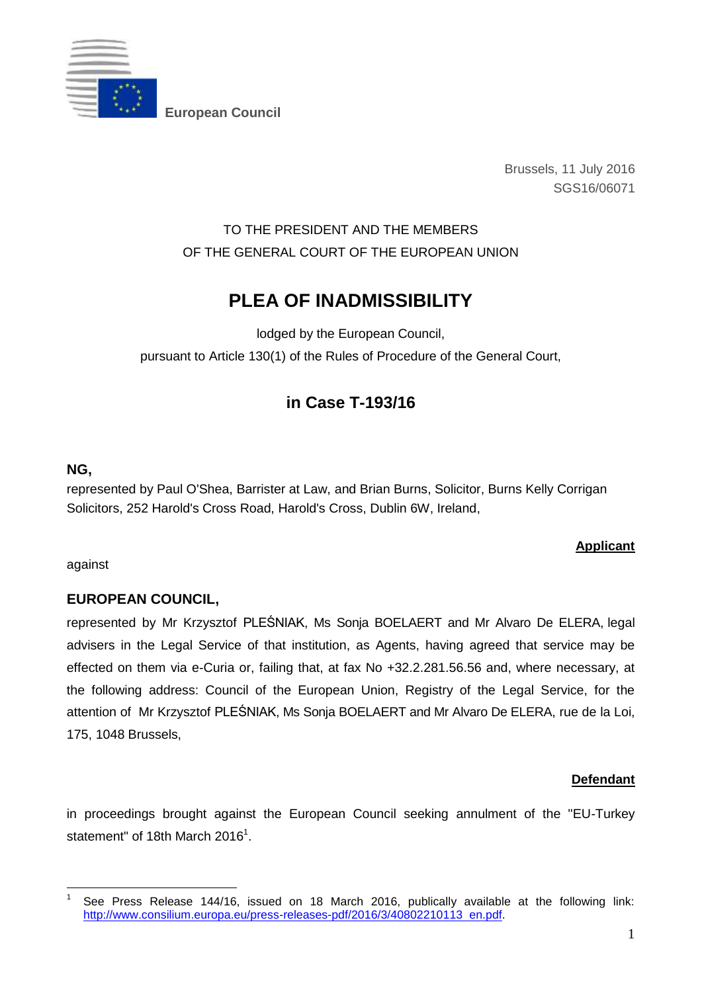

**European Council** 

Brussels, 11 July 2016 SGS16/06071

# TO THE PRESIDENT AND THE MEMBERS OF THE GENERAL COURT OF THE EUROPEAN UNION

# **PLEA OF INADMISSIBILITY**

lodged by the European Council, pursuant to Article 130(1) of the Rules of Procedure of the General Court,

# **in Case T-193/16**

### **NG,**

represented by Paul O'Shea, Barrister at Law, and Brian Burns, Solicitor, Burns Kelly Corrigan Solicitors, 252 Harold's Cross Road, Harold's Cross, Dublin 6W, Ireland,

### **Applicant**

against

### **EUROPEAN COUNCIL,**

represented by Mr Krzysztof PLEŚNIAK, Ms Sonja BOELAERT and Mr Alvaro De ELERA, legal advisers in the Legal Service of that institution, as Agents, having agreed that service may be effected on them via e-Curia or, failing that, at fax No +32.2.281.56.56 and, where necessary, at the following address: Council of the European Union, Registry of the Legal Service, for the attention of Mr Krzysztof PLEŚNIAK, Ms Sonja BOELAERT and Mr Alvaro De ELERA, rue de la Loi, 175, 1048 Brussels,

#### **Defendant**

in proceedings brought against the European Council seeking annulment of the "EU-Turkey statement" of 18th March 2016<sup>1</sup>.

<sup>&</sup>lt;u>.</u> 1 See Press Release 144/16, issued on 18 March 2016, publically available at the following link: http://www.consilium.europa.eu/press-releases-pdf/2016/3/40802210113 en.pdf.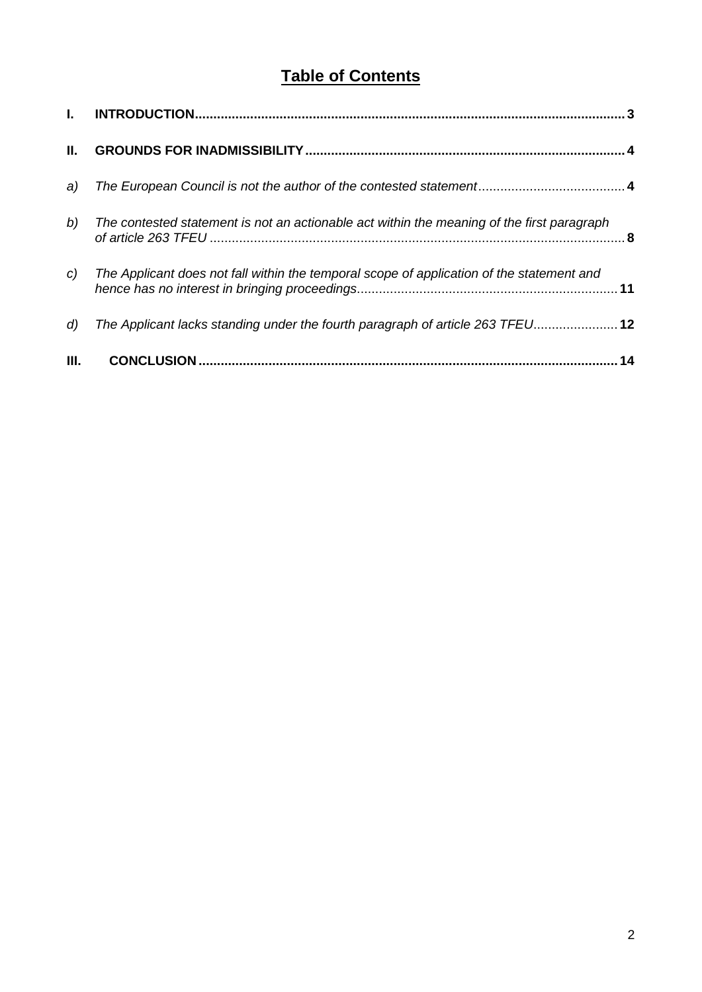# **Table of Contents**

<span id="page-1-0"></span>

| $\mathbf{L}$ |                                                                                            |    |
|--------------|--------------------------------------------------------------------------------------------|----|
| Ш.           |                                                                                            |    |
| a)           |                                                                                            |    |
| b)           | The contested statement is not an actionable act within the meaning of the first paragraph |    |
| C            | The Applicant does not fall within the temporal scope of application of the statement and  |    |
| d)           | The Applicant lacks standing under the fourth paragraph of article 263 TFEU 12             |    |
| Ш.           |                                                                                            | 14 |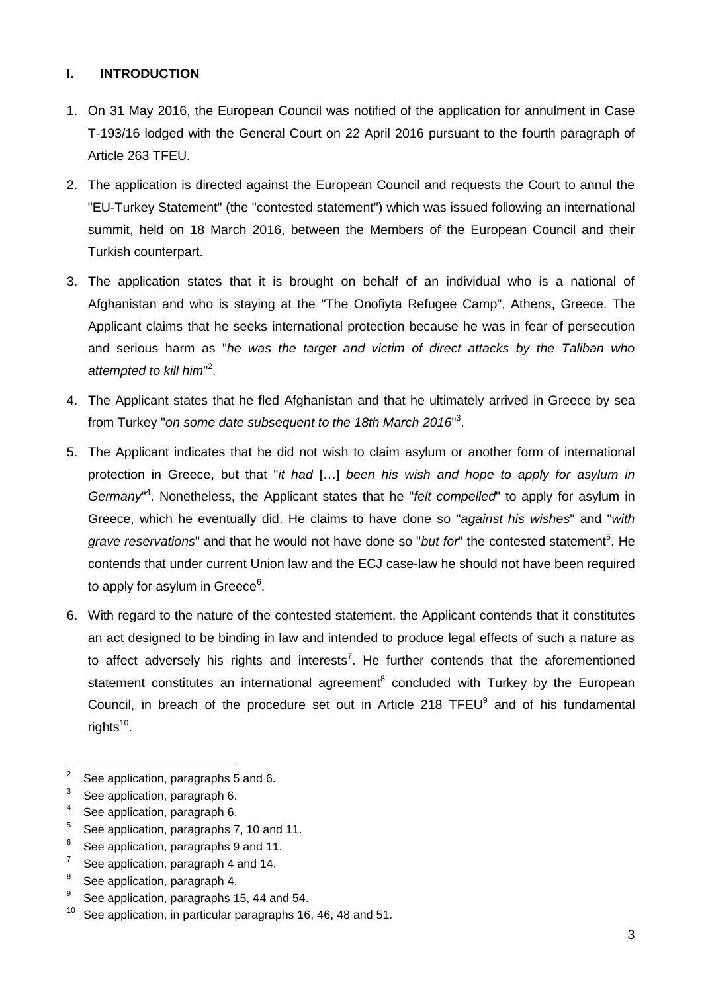#### **I. INTRODUCTION**

- 1. On 31 May 2016, the European Council was notified of the application for annulment in Case T-193/16 lodged with the General Court on 22 April 2016 pursuant to the fourth paragraph of Article 263 TFEU.
- 2. The application is directed against the European Council and requests the Court to annul the "EU-Turkey Statement" (the "contested statement") which was issued following an international summit, held on 18 March 2016, between the Members of the European Council and their Turkish counterpart.
- 3. The application states that it is brought on behalf of an individual who is a national of Afghanistan and who is staying at the "The Onofiyta Refugee Camp", Athens, Greece. The Applicant claims that he seeks international protection because he was in fear of persecution and serious harm as "*he was the target and victim of direct attacks by the Taliban who attempted to kill him*" 2 .
- 4. The Applicant states that he fled Afghanistan and that he ultimately arrived in Greece by sea from Turkey "*on some date subsequent to the 18th March 2016*" 3 .
- 5. The Applicant indicates that he did not wish to claim asylum or another form of international protection in Greece, but that "*it had* […] *been his wish and hope to apply for asylum in Germany*" 4 . Nonetheless, the Applicant states that he "*felt compelled*" to apply for asylum in Greece, which he eventually did. He claims to have done so "*against his wishes*" and "*with*  grave reservations" and that he would not have done so "but for" the contested statement<sup>5</sup>. He contends that under current Union law and the ECJ case-law he should not have been required to apply for asylum in Greece<sup>6</sup>.
- 6. With regard to the nature of the contested statement, the Applicant contends that it constitutes an act designed to be binding in law and intended to produce legal effects of such a nature as to affect adversely his rights and interests<sup>7</sup>. He further contends that the aforementioned statement constitutes an international agreement<sup>8</sup> concluded with Turkey by the European Council, in breach of the procedure set out in Article 218  $TFEU<sup>9</sup>$  and of his fundamental rights<sup>10</sup>.

- 5 See application, paragraphs 7, 10 and 11.
- 6 See application, paragraphs 9 and 11.
- 7 See application, paragraph 4 and 14.
- 8 See application, paragraph 4.
- 9 See application, paragraphs 15, 44 and 54.
- $10$  See application, in particular paragraphs 16, 46, 48 and 51.

 $\frac{1}{2}$ See application, paragraphs 5 and 6.

<sup>3</sup> See application, paragraph 6.

<sup>4</sup> See application, paragraph 6.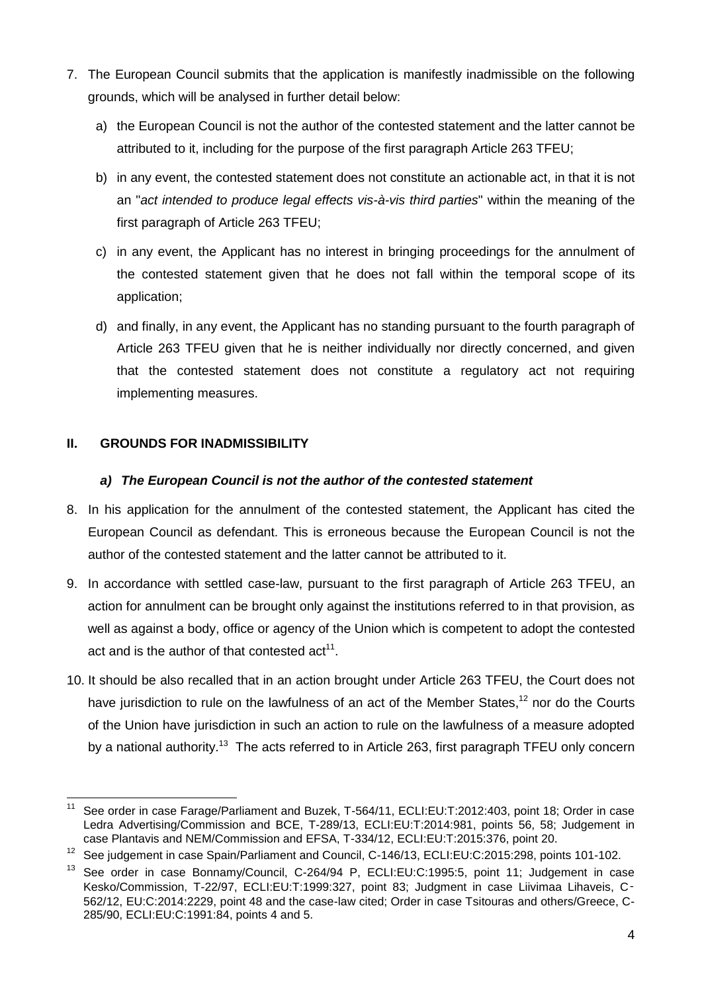- 7. The European Council submits that the application is manifestly inadmissible on the following grounds, which will be analysed in further detail below:
	- a) the European Council is not the author of the contested statement and the latter cannot be attributed to it, including for the purpose of the first paragraph Article 263 TFEU;
	- b) in any event, the contested statement does not constitute an actionable act, in that it is not an "*act intended to produce legal effects vis-à-vis third parties*" within the meaning of the first paragraph of Article 263 TFEU;
	- c) in any event, the Applicant has no interest in bringing proceedings for the annulment of the contested statement given that he does not fall within the temporal scope of its application;
	- d) and finally, in any event, the Applicant has no standing pursuant to the fourth paragraph of Article 263 TFEU given that he is neither individually nor directly concerned, and given that the contested statement does not constitute a regulatory act not requiring implementing measures.

#### <span id="page-3-0"></span>**II. GROUNDS FOR INADMISSIBILITY**

#### *a) The European Council is not the author of the contested statement*

- <span id="page-3-1"></span>8. In his application for the annulment of the contested statement, the Applicant has cited the European Council as defendant. This is erroneous because the European Council is not the author of the contested statement and the latter cannot be attributed to it.
- 9. In accordance with settled case-law, pursuant to the first paragraph of Article 263 TFEU, an action for annulment can be brought only against the institutions referred to in that provision, as well as against a body, office or agency of the Union which is competent to adopt the contested act and is the author of that contested  $act<sup>11</sup>$ .
- 10. It should be also recalled that in an action brought under Article 263 TFEU, the Court does not have jurisdiction to rule on the lawfulness of an act of the Member States,<sup>12</sup> nor do the Courts of the Union have jurisdiction in such an action to rule on the lawfulness of a measure adopted by a national authority.<sup>13</sup> The acts referred to in Article 263, first paragraph TFEU only concern

 $11$ See order in case Farage/Parliament and Buzek, T-564/11, ECLI:EU:T:2012:403, point 18; Order in case Ledra Advertising/Commission and BCE, T-289/13, ECLI:EU:T:2014:981, points 56, 58; Judgement in case Plantavis and NEM/Commission and EFSA, T-334/12, ECLI:EU:T:2015:376, point 20.

<sup>12</sup> See judgement in case Spain/Parliament and Council, C-146/13, ECLI:EU:C:2015:298, points 101-102.

See order in case Bonnamy/Council, C-264/94 P, ECLI:EU:C:1995:5, point 11; Judgement in case Kesko/Commission, T-22/97, ECLI:EU:T:1999:327, point 83; Judgment in case Liivimaa Lihaveis, C-562/12, EU:C:2014:2229, point 48 and the case-law cited; Order in case Tsitouras and others/Greece, C-285/90, ECLI:EU:C:1991:84, points 4 and 5.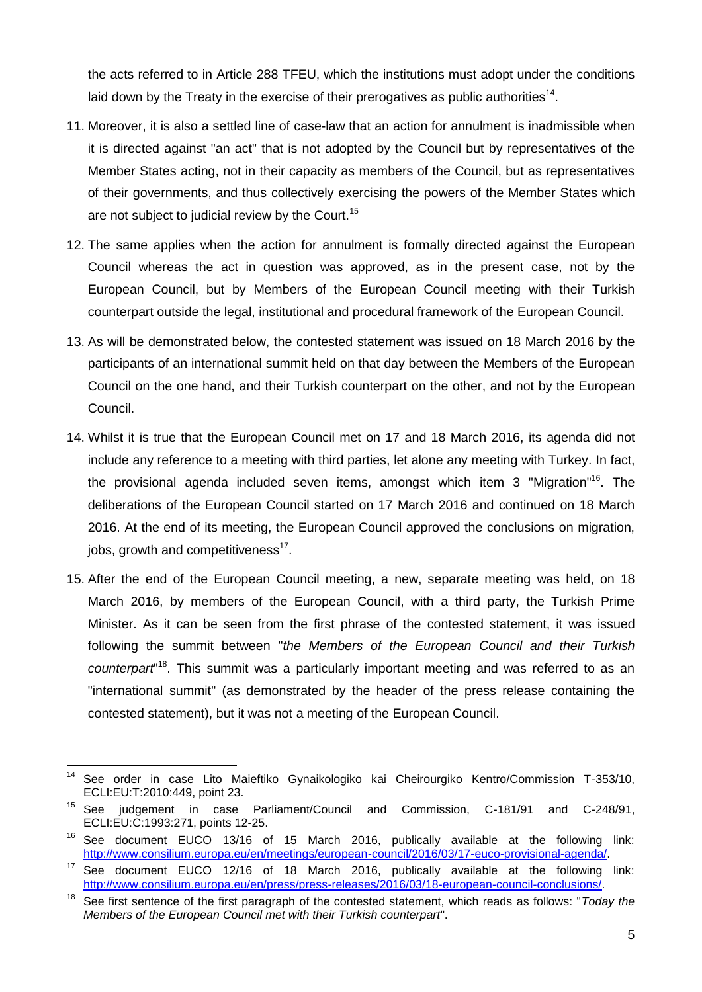the acts referred to in Article 288 TFEU, which the institutions must adopt under the conditions laid down by the Treaty in the exercise of their prerogatives as public authorities<sup>14</sup>.

- 11. Moreover, it is also a settled line of case-law that an action for annulment is inadmissible when it is directed against "an act" that is not adopted by the Council but by representatives of the Member States acting, not in their capacity as members of the Council, but as representatives of their governments, and thus collectively exercising the powers of the Member States which are not subject to judicial review by the Court.<sup>15</sup>
- 12. The same applies when the action for annulment is formally directed against the European Council whereas the act in question was approved, as in the present case, not by the European Council, but by Members of the European Council meeting with their Turkish counterpart outside the legal, institutional and procedural framework of the European Council.
- 13. As will be demonstrated below, the contested statement was issued on 18 March 2016 by the participants of an international summit held on that day between the Members of the European Council on the one hand, and their Turkish counterpart on the other, and not by the European Council.
- 14. Whilst it is true that the European Council met on 17 and 18 March 2016, its agenda did not include any reference to a meeting with third parties, let alone any meeting with Turkey. In fact, the provisional agenda included seven items, amongst which item 3 "Migration"<sup>16</sup>. The deliberations of the European Council started on 17 March 2016 and continued on 18 March 2016. At the end of its meeting, the European Council approved the conclusions on migration, jobs, growth and competitiveness $^{17}$ .
- 15. After the end of the European Council meeting, a new, separate meeting was held, on 18 March 2016, by members of the European Council, with a third party, the Turkish Prime Minister. As it can be seen from the first phrase of the contested statement, it was issued following the summit between "*the Members of the European Council and their Turkish*  counterpart<sup>"18</sup>. This summit was a particularly important meeting and was referred to as an "international summit" (as demonstrated by the header of the press release containing the contested statement), but it was not a meeting of the European Council.

 $\overline{a}$ <sup>14</sup> See order in case Lito Maieftiko Gynaikologiko kai Cheirourgiko Kentro/Commission T-353/10, ECLI:EU:T:2010:449, point 23.

<sup>15</sup> See judgement in case Parliament/Council and Commission, C-181/91 and C-248/91, ECLI:EU:C:1993:271, points 12-25.

<sup>&</sup>lt;sup>16</sup> See document EUCO 13/16 of 15 March 2016, publically available at the following link: http://www.consilium.europa.eu/en/meetings/european-council/2016/03/17-euco-provisional-agenda/.

<sup>&</sup>lt;sup>17</sup> See document EUCO 12/16 of 18 March 2016, publically available at the following link: http://www.consilium.europa.eu/en/press/press-releases/2016/03/18-european-council-conclusions/.

<sup>18</sup> See first sentence of the first paragraph of the contested statement, which reads as follows: "*Today the Members of the European Council met with their Turkish counterpart*".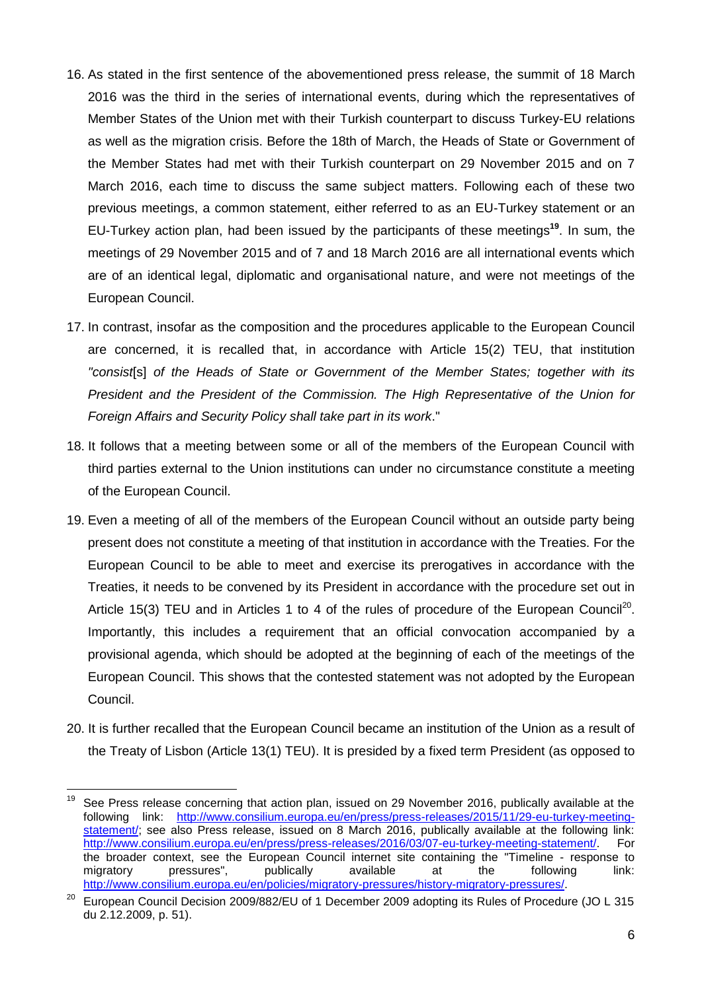- 16. As stated in the first sentence of the abovementioned press release, the summit of 18 March 2016 was the third in the series of international events, during which the representatives of Member States of the Union met with their Turkish counterpart to discuss Turkey-EU relations as well as the migration crisis. Before the 18th of March, the Heads of State or Government of the Member States had met with their Turkish counterpart on 29 November 2015 and on 7 March 2016, each time to discuss the same subject matters. Following each of these two previous meetings, a common statement, either referred to as an EU-Turkey statement or an EU-Turkey action plan, had been issued by the participants of these meetings**<sup>19</sup>**. In sum, the meetings of 29 November 2015 and of 7 and 18 March 2016 are all international events which are of an identical legal, diplomatic and organisational nature, and were not meetings of the European Council.
- 17. In contrast, insofar as the composition and the procedures applicable to the European Council are concerned, it is recalled that, in accordance with Article 15(2) TEU, that institution *"consist*[s] *of the Heads of State or Government of the Member States; together with its President and the President of the Commission. The High Representative of the Union for Foreign Affairs and Security Policy shall take part in its work*."
- 18. It follows that a meeting between some or all of the members of the European Council with third parties external to the Union institutions can under no circumstance constitute a meeting of the European Council.
- 19. Even a meeting of all of the members of the European Council without an outside party being present does not constitute a meeting of that institution in accordance with the Treaties. For the European Council to be able to meet and exercise its prerogatives in accordance with the Treaties, it needs to be convened by its President in accordance with the procedure set out in Article 15(3) TEU and in Articles 1 to 4 of the rules of procedure of the European Council<sup>20</sup>. Importantly, this includes a requirement that an official convocation accompanied by a provisional agenda, which should be adopted at the beginning of each of the meetings of the European Council. This shows that the contested statement was not adopted by the European Council.
- 20. It is further recalled that the European Council became an institution of the Union as a result of the Treaty of Lisbon (Article 13(1) TEU). It is presided by a fixed term President (as opposed to

<sup>19</sup> See Press release concerning that action plan, issued on 29 November 2016, publically available at the following link: http://www.consilium.europa.eu/en/press/press-releases/2015/11/29-eu-turkey-meetingstatement/; see also Press release, issued on 8 March 2016, publically available at the following link: http://www.consilium.europa.eu/en/press/press-releases/2016/03/07-eu-turkey-meeting-statement/. For the broader context, see the European Council internet site containing the "Timeline - response to migratory pressures", publically available at the following link: http://www.consilium.europa.eu/en/policies/migratory-pressures/history-migratory-pressures/.

<sup>&</sup>lt;sup>20</sup> European Council Decision 2009/882/EU of 1 December 2009 adopting its Rules of Procedure (JO L 315 du 2.12.2009, p. 51).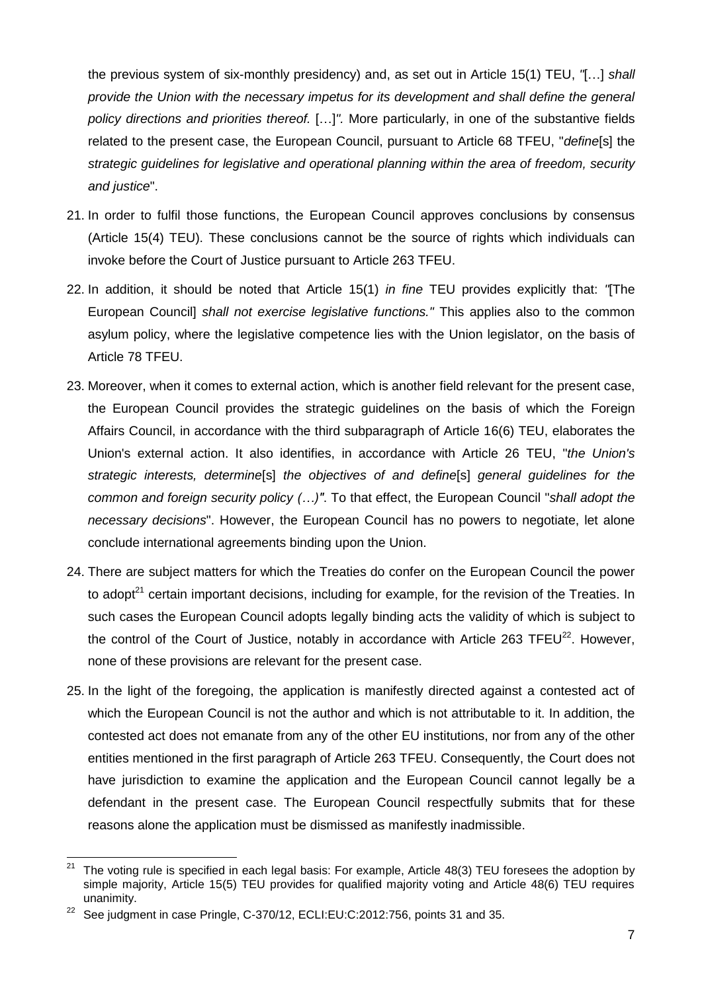the previous system of six-monthly presidency) and, as set out in Article 15(1) TEU, *"*[…] *shall provide the Union with the necessary impetus for its development and shall define the general policy directions and priorities thereof.* […]*".* More particularly, in one of the substantive fields related to the present case, the European Council, pursuant to Article 68 TFEU, "*define*[s] the *strategic guidelines for legislative and operational planning within the area of freedom, security and justice*".

- 21. In order to fulfil those functions, the European Council approves conclusions by consensus (Article 15(4) TEU). These conclusions cannot be the source of rights which individuals can invoke before the Court of Justice pursuant to Article 263 TFEU.
- 22. In addition, it should be noted that Article 15(1) *in fine* TEU provides explicitly that: *"*[The European Council] *shall not exercise legislative functions."* This applies also to the common asylum policy, where the legislative competence lies with the Union legislator, on the basis of Article 78 TFEU.
- 23. Moreover, when it comes to external action, which is another field relevant for the present case, the European Council provides the strategic guidelines on the basis of which the Foreign Affairs Council, in accordance with the third subparagraph of Article 16(6) TEU, elaborates the Union's external action. It also identifies, in accordance with Article 26 TEU, "*the Union's strategic interests, determine*[s] *the objectives of and define*[s] *general guidelines for the common and foreign security policy (…)"*. To that effect, the European Council "*shall adopt the necessary decisions*". However, the European Council has no powers to negotiate, let alone conclude international agreements binding upon the Union.
- 24. There are subject matters for which the Treaties do confer on the European Council the power to adopt<sup>21</sup> certain important decisions, including for example, for the revision of the Treaties. In such cases the European Council adopts legally binding acts the validity of which is subject to the control of the Court of Justice, notably in accordance with Article 263 TFEU $^{22}$ . However, none of these provisions are relevant for the present case.
- 25. In the light of the foregoing, the application is manifestly directed against a contested act of which the European Council is not the author and which is not attributable to it. In addition, the contested act does not emanate from any of the other EU institutions, nor from any of the other entities mentioned in the first paragraph of Article 263 TFEU. Consequently, the Court does not have jurisdiction to examine the application and the European Council cannot legally be a defendant in the present case. The European Council respectfully submits that for these reasons alone the application must be dismissed as manifestly inadmissible.

 $21\,$ The voting rule is specified in each legal basis: For example, Article 48(3) TEU foresees the adoption by simple majority, Article 15(5) TEU provides for qualified majority voting and Article 48(6) TEU requires unanimity.

<sup>&</sup>lt;sup>22</sup> See judgment in case Pringle, C-370/12, ECLI:EU:C:2012:756, points 31 and 35.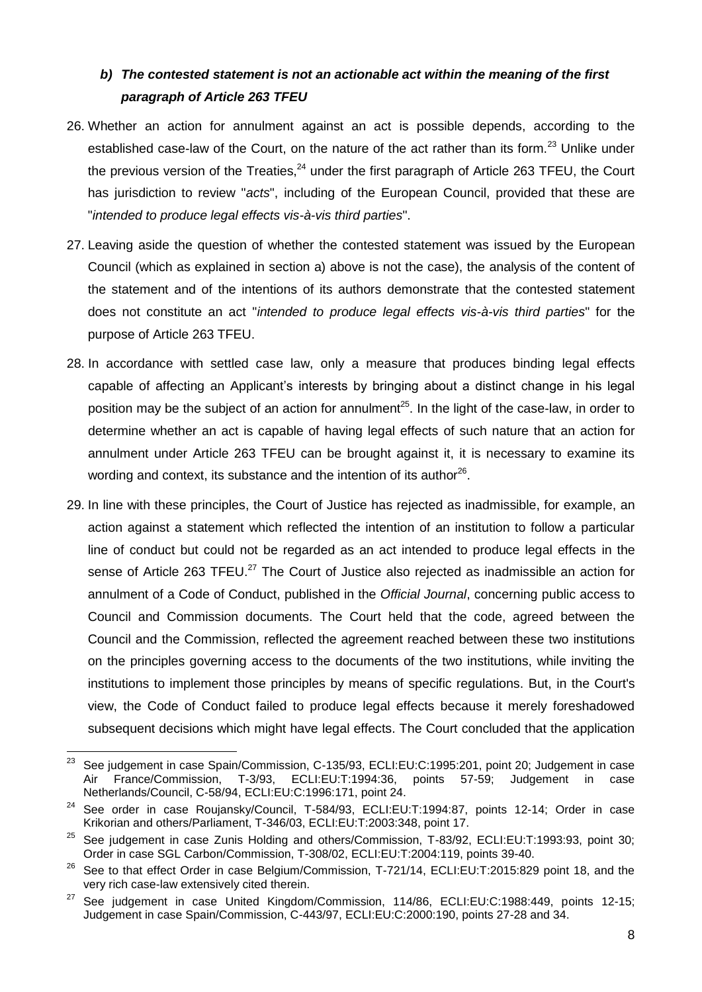## <span id="page-7-0"></span>*b) The contested statement is not an actionable act within the meaning of the first paragraph of Article 263 TFEU*

- 26. Whether an action for annulment against an act is possible depends, according to the established case-law of the Court, on the nature of the act rather than its form.<sup>23</sup> Unlike under the previous version of the Treaties,  $24$  under the first paragraph of Article 263 TFEU, the Court has jurisdiction to review "*acts*", including of the European Council, provided that these are "*intended to produce legal effects vis-à-vis third parties*".
- 27. Leaving aside the question of whether the contested statement was issued by the European Council (which as explained in section a) above is not the case), the analysis of the content of the statement and of the intentions of its authors demonstrate that the contested statement does not constitute an act "*intended to produce legal effects vis-à-vis third parties*" for the purpose of Article 263 TFEU.
- 28. In accordance with settled case law, only a measure that produces binding legal effects capable of affecting an Applicant's interests by bringing about a distinct change in his legal position may be the subject of an action for annulment<sup>25</sup>. In the light of the case-law, in order to determine whether an act is capable of having legal effects of such nature that an action for annulment under Article 263 TFEU can be brought against it, it is necessary to examine its wording and context, its substance and the intention of its author<sup>26</sup>.
- 29. In line with these principles, the Court of Justice has rejected as inadmissible, for example, an action against a statement which reflected the intention of an institution to follow a particular line of conduct but could not be regarded as an act intended to produce legal effects in the sense of Article 263 TFEU.<sup>27</sup> The Court of Justice also rejected as inadmissible an action for annulment of a Code of Conduct, published in the *Official Journal*, concerning public access to Council and Commission documents. The Court held that the code, agreed between the Council and the Commission, reflected the agreement reached between these two institutions on the principles governing access to the documents of the two institutions, while inviting the institutions to implement those principles by means of specific regulations. But, in the Court's view, the Code of Conduct failed to produce legal effects because it merely foreshadowed subsequent decisions which might have legal effects. The Court concluded that the application

<sup>23</sup> See judgement in case Spain/Commission, C-135/93, ECLI:EU:C:1995:201, point 20; Judgement in case Air France/Commission, T-3/93, ECLI:EU:T:1994:36, points 57-59; Judgement in case Netherlands/Council, C-58/94, ECLI:EU:C:1996:171, point 24.

<sup>&</sup>lt;sup>24</sup> See order in case Roujansky/Council, T-584/93, ECLI:EU:T:1994:87, points 12-14; Order in case Krikorian and others/Parliament, T-346/03, ECLI:EU:T:2003:348, point 17.

 $25$  See judgement in case Zunis Holding and others/Commission, T-83/92, ECLI:EU:T:1993:93, point 30; Order in case SGL Carbon/Commission, T-308/02, ECLI:EU:T:2004:119, points 39-40.

<sup>&</sup>lt;sup>26</sup> See to that effect Order in case Belgium/Commission, T-721/14, ECLI:EU:T:2015:829 point 18, and the very rich case-law extensively cited therein.

 $27$  See judgement in case United Kingdom/Commission, 114/86, ECLI:EU:C:1988:449, points 12-15; Judgement in case Spain/Commission, C-443/97, ECLI:EU:C:2000:190, points 27-28 and 34.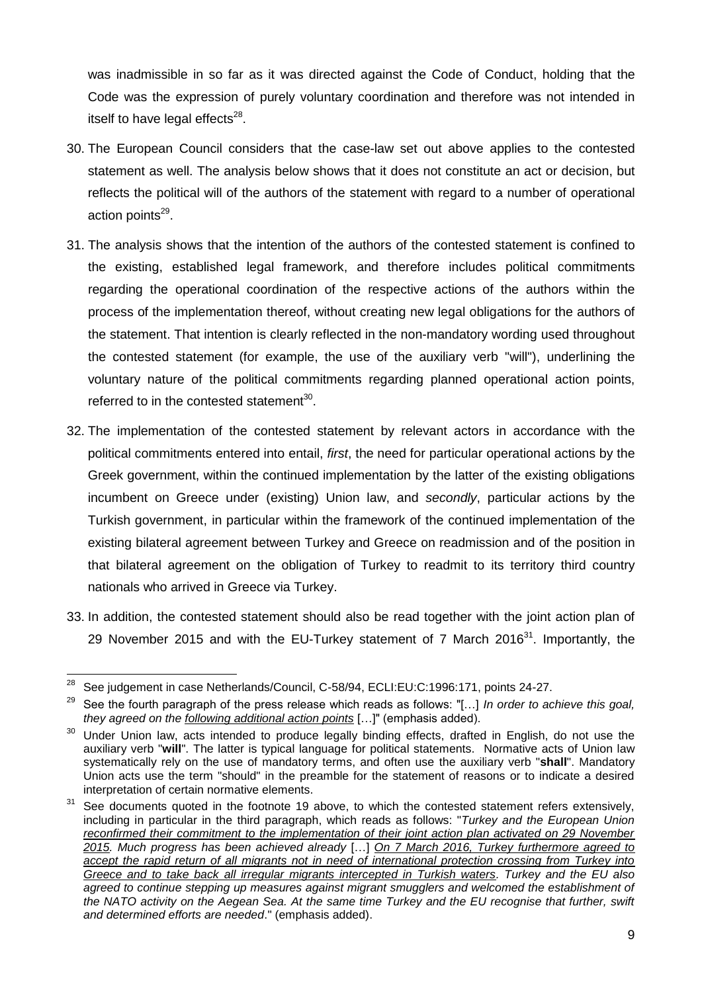was inadmissible in so far as it was directed against the Code of Conduct, holding that the Code was the expression of purely voluntary coordination and therefore was not intended in itself to have legal effects<sup>28</sup>.

- 30. The European Council considers that the case-law set out above applies to the contested statement as well. The analysis below shows that it does not constitute an act or decision, but reflects the political will of the authors of the statement with regard to a number of operational action points<sup>29</sup>.
- 31. The analysis shows that the intention of the authors of the contested statement is confined to the existing, established legal framework, and therefore includes political commitments regarding the operational coordination of the respective actions of the authors within the process of the implementation thereof, without creating new legal obligations for the authors of the statement. That intention is clearly reflected in the non-mandatory wording used throughout the contested statement (for example, the use of the auxiliary verb "will"), underlining the voluntary nature of the political commitments regarding planned operational action points, referred to in the contested statement<sup>30</sup>.
- 32. The implementation of the contested statement by relevant actors in accordance with the political commitments entered into entail, *first*, the need for particular operational actions by the Greek government, within the continued implementation by the latter of the existing obligations incumbent on Greece under (existing) Union law, and *secondly*, particular actions by the Turkish government, in particular within the framework of the continued implementation of the existing bilateral agreement between Turkey and Greece on readmission and of the position in that bilateral agreement on the obligation of Turkey to readmit to its territory third country nationals who arrived in Greece via Turkey.
- 33. In addition, the contested statement should also be read together with the joint action plan of 29 November 2015 and with the EU-Turkey statement of 7 March 2016<sup>31</sup>. Importantly, the

<sup>28</sup> See judgement in case Netherlands/Council, C-58/94, ECLI:EU:C:1996:171, points 24-27.

<sup>29</sup> See the fourth paragraph of the press release which reads as follows: "[…] *In order to achieve this goal, they agreed on the following additional action points* […]" (emphasis added).

<sup>&</sup>lt;sup>30</sup> Under Union law, acts intended to produce legally binding effects, drafted in English, do not use the auxiliary verb "**will**". The latter is typical language for political statements. Normative acts of Union law systematically rely on the use of mandatory terms, and often use the auxiliary verb "**shall**". Mandatory Union acts use the term "should" in the preamble for the statement of reasons or to indicate a desired interpretation of certain normative elements.

 $31$  See documents quoted in the footnote 19 above, to which the contested statement refers extensively. including in particular in the third paragraph, which reads as follows: "*Turkey and the European Union reconfirmed their commitment to the implementation of their joint action plan activated on 29 November 2015. Much progress has been achieved already* […] *On 7 March 2016, Turkey furthermore agreed to accept the rapid return of all migrants not in need of international protection crossing from Turkey into Greece and to take back all irregular migrants intercepted in Turkish waters. Turkey and the EU also agreed to continue stepping up measures against migrant smugglers and welcomed the establishment of the NATO activity on the Aegean Sea. At the same time Turkey and the EU recognise that further, swift and determined efforts are needed*." (emphasis added).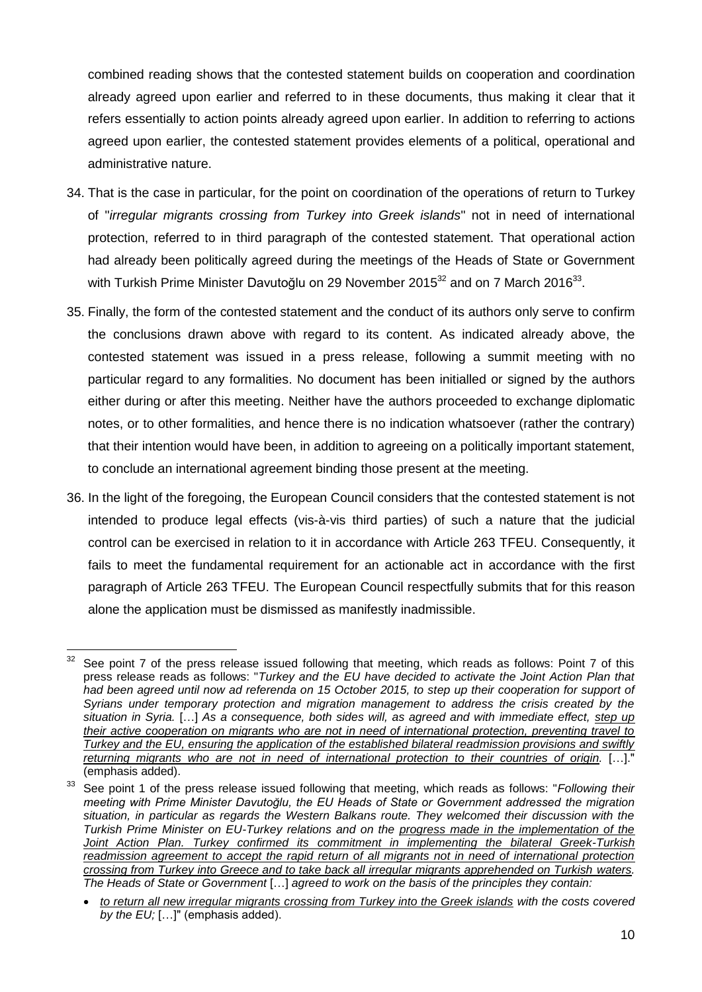combined reading shows that the contested statement builds on cooperation and coordination already agreed upon earlier and referred to in these documents, thus making it clear that it refers essentially to action points already agreed upon earlier. In addition to referring to actions agreed upon earlier, the contested statement provides elements of a political, operational and administrative nature.

- 34. That is the case in particular, for the point on coordination of the operations of return to Turkey of "*irregular migrants crossing from Turkey into Greek islands*" not in need of international protection, referred to in third paragraph of the contested statement. That operational action had already been politically agreed during the meetings of the Heads of State or Government with Turkish Prime Minister Davutoğlu on 29 November 2015 $^{32}$  and on 7 March 2016 $^{33}$ .
- 35. Finally, the form of the contested statement and the conduct of its authors only serve to confirm the conclusions drawn above with regard to its content. As indicated already above, the contested statement was issued in a press release, following a summit meeting with no particular regard to any formalities. No document has been initialled or signed by the authors either during or after this meeting. Neither have the authors proceeded to exchange diplomatic notes, or to other formalities, and hence there is no indication whatsoever (rather the contrary) that their intention would have been, in addition to agreeing on a politically important statement, to conclude an international agreement binding those present at the meeting.
- 36. In the light of the foregoing, the European Council considers that the contested statement is not intended to produce legal effects (vis-à-vis third parties) of such a nature that the judicial control can be exercised in relation to it in accordance with Article 263 TFEU. Consequently, it fails to meet the fundamental requirement for an actionable act in accordance with the first paragraph of Article 263 TFEU. The European Council respectfully submits that for this reason alone the application must be dismissed as manifestly inadmissible.

<sup>32</sup> See point 7 of the press release issued following that meeting, which reads as follows: Point 7 of this press release reads as follows: "*Turkey and the EU have decided to activate the Joint Action Plan that*  had been agreed until now ad referenda on 15 October 2015, to step up their cooperation for support of *Syrians under temporary protection and migration management to address the crisis created by the situation in Syria.* […] *As a consequence, both sides will, as agreed and with immediate effect, step up their active cooperation on migrants who are not in need of international protection, preventing travel to Turkey and the EU, ensuring the application of the established bilateral readmission provisions and swiftly returning migrants who are not in need of international protection to their countries of origin.* […]." (emphasis added).

<sup>33</sup> See point 1 of the press release issued following that meeting, which reads as follows: "*Following their meeting with Prime Minister Davutoğlu, the EU Heads of State or Government addressed the migration situation, in particular as regards the Western Balkans route. They welcomed their discussion with the Turkish Prime Minister on EU-Turkey relations and on the progress made in the implementation of the Joint Action Plan. Turkey confirmed its commitment in implementing the bilateral Greek-Turkish readmission agreement to accept the rapid return of all migrants not in need of international protection crossing from Turkey into Greece and to take back all irregular migrants apprehended on Turkish waters. The Heads of State or Government* […] *agreed to work on the basis of the principles they contain:*

*to return all new irregular migrants crossing from Turkey into the Greek islands with the costs covered by the EU;* […]" (emphasis added).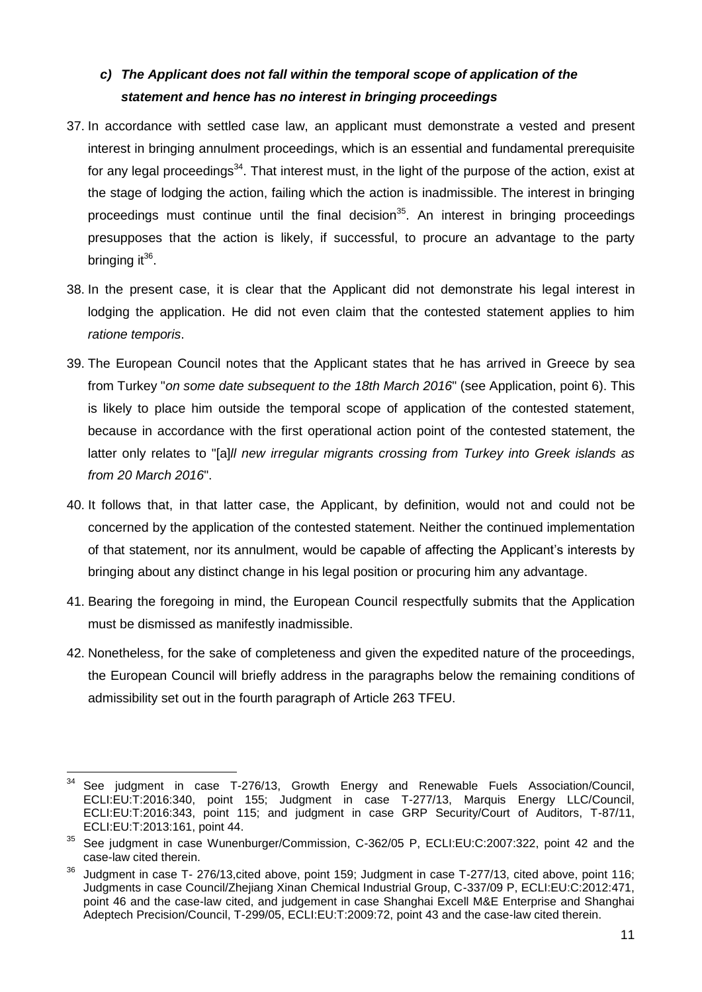### <span id="page-10-0"></span>*c) The Applicant does not fall within the temporal scope of application of the statement and hence has no interest in bringing proceedings*

- 37. In accordance with settled case law, an applicant must demonstrate a vested and present interest in bringing annulment proceedings, which is an essential and fundamental prerequisite for any legal proceedings<sup>34</sup>. That interest must, in the light of the purpose of the action, exist at the stage of lodging the action, failing which the action is inadmissible. The interest in bringing proceedings must continue until the final decision<sup>35</sup>. An interest in bringing proceedings presupposes that the action is likely, if successful, to procure an advantage to the party bringing it<sup>36</sup>.
- 38. In the present case, it is clear that the Applicant did not demonstrate his legal interest in lodging the application. He did not even claim that the contested statement applies to him *ratione temporis*.
- 39. The European Council notes that the Applicant states that he has arrived in Greece by sea from Turkey "*on some date subsequent to the 18th March 2016*" (see Application, point 6). This is likely to place him outside the temporal scope of application of the contested statement, because in accordance with the first operational action point of the contested statement, the latter only relates to "[a]*ll new irregular migrants crossing from Turkey into Greek islands as from 20 March 2016*".
- <span id="page-10-1"></span>40. It follows that, in that latter case, the Applicant, by definition, would not and could not be concerned by the application of the contested statement. Neither the continued implementation of that statement, nor its annulment, would be capable of affecting the Applicant's interests by bringing about any distinct change in his legal position or procuring him any advantage.
- 41. Bearing the foregoing in mind, the European Council respectfully submits that the Application must be dismissed as manifestly inadmissible.
- 42. Nonetheless, for the sake of completeness and given the expedited nature of the proceedings, the European Council will briefly address in the paragraphs below the remaining conditions of admissibility set out in the fourth paragraph of Article 263 TFEU.

 $\overline{a}$  $34$  See judgment in case T-276/13, Growth Energy and Renewable Fuels Association/Council, ECLI:EU:T:2016:340, point 155; Judgment in case T-277/13, Marquis Energy LLC/Council, ECLI:EU:T:2016:343, point 115; and judgment in case GRP Security/Court of Auditors, T-87/11, ECLI:EU:T:2013:161, point 44.

<sup>35</sup> See judgment in case Wunenburger/Commission, C-362/05 P, ECLI:EU:C:2007:322, point 42 and the case-law cited therein.

<sup>&</sup>lt;sup>36</sup> Judgment in case T- 276/13,cited above, point 159; Judgment in case T-277/13, cited above, point 116; Judgments in case Council/Zhejiang Xinan Chemical Industrial Group, C-337/09 P, ECLI:EU:C:2012:471, point 46 and the case-law cited, and judgement in case Shanghai Excell M&E Enterprise and Shanghai Adeptech Precision/Council, T-299/05, ECLI:EU:T:2009:72, point 43 and the case-law cited therein.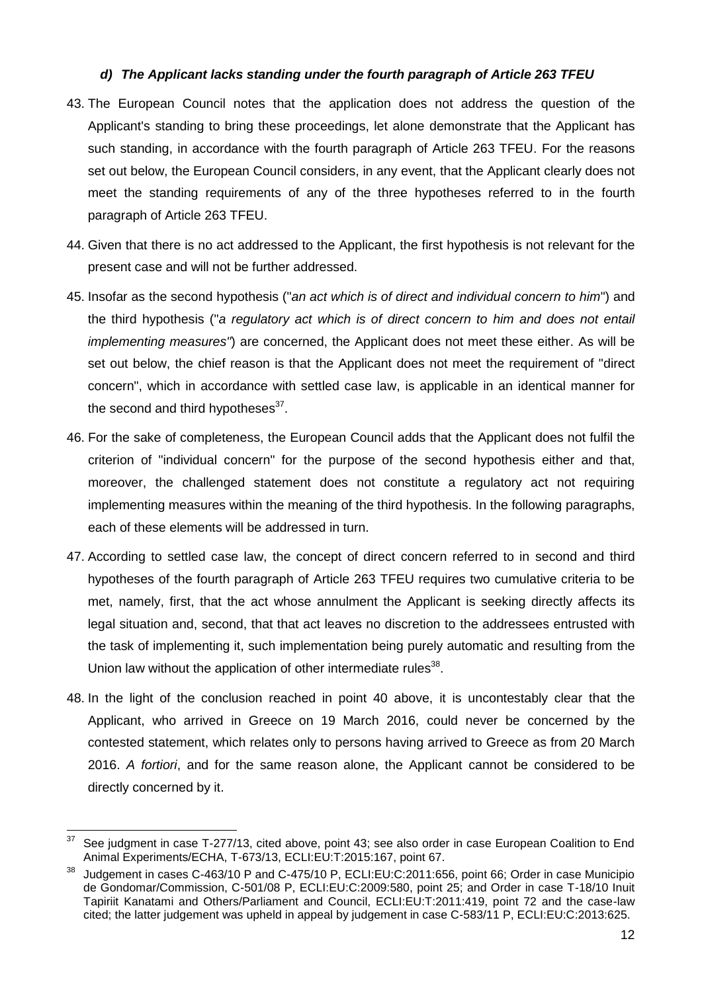#### *d) The Applicant lacks standing under the fourth paragraph of Article 263 TFEU*

- <span id="page-11-0"></span>43. The European Council notes that the application does not address the question of the Applicant's standing to bring these proceedings, let alone demonstrate that the Applicant has such standing, in accordance with the fourth paragraph of Article 263 TFEU. For the reasons set out below, the European Council considers, in any event, that the Applicant clearly does not meet the standing requirements of any of the three hypotheses referred to in the fourth paragraph of Article 263 TFEU.
- 44. Given that there is no act addressed to the Applicant, the first hypothesis is not relevant for the present case and will not be further addressed.
- 45. Insofar as the second hypothesis ("*an act which is of direct and individual concern to him*") and the third hypothesis ("*a regulatory act which is of direct concern to him and does not entail implementing measures"*) are concerned, the Applicant does not meet these either. As will be set out below, the chief reason is that the Applicant does not meet the requirement of "direct concern", which in accordance with settled case law, is applicable in an identical manner for the second and third hypotheses $^{37}$ .
- 46. For the sake of completeness, the European Council adds that the Applicant does not fulfil the criterion of "individual concern" for the purpose of the second hypothesis either and that, moreover, the challenged statement does not constitute a regulatory act not requiring implementing measures within the meaning of the third hypothesis. In the following paragraphs, each of these elements will be addressed in turn.
- 47. According to settled case law, the concept of direct concern referred to in second and third hypotheses of the fourth paragraph of Article 263 TFEU requires two cumulative criteria to be met, namely, first, that the act whose annulment the Applicant is seeking directly affects its legal situation and, second, that that act leaves no discretion to the addressees entrusted with the task of implementing it, such implementation being purely automatic and resulting from the Union law without the application of other intermediate rules $^{38}$ .
- 48. In the light of the conclusion reached in point [40](#page-10-1) above, it is uncontestably clear that the Applicant, who arrived in Greece on 19 March 2016, could never be concerned by the contested statement, which relates only to persons having arrived to Greece as from 20 March 2016. *A fortiori*, and for the same reason alone, the Applicant cannot be considered to be directly concerned by it.

<sup>&</sup>lt;u>.</u> See judgment in case T-277/13, cited above, point 43; see also order in case European Coalition to End Animal Experiments/ECHA, T-673/13, ECLI:EU:T:2015:167, point 67.

<sup>&</sup>lt;sup>38</sup> Judgement in cases C-463/10 P and C-475/10 P, ECLI:EU:C:2011:656, point 66; Order in case Municipio de Gondomar/Commission, C-501/08 P, ECLI:EU:C:2009:580, point 25; and Order in case T-18/10 Inuit Tapiriit Kanatami and Others/Parliament and Council, ECLI:EU:T:2011:419, point 72 and the case-law cited; the latter judgement was upheld in appeal by judgement in case C-583/11 P, ECLI:EU:C:2013:625.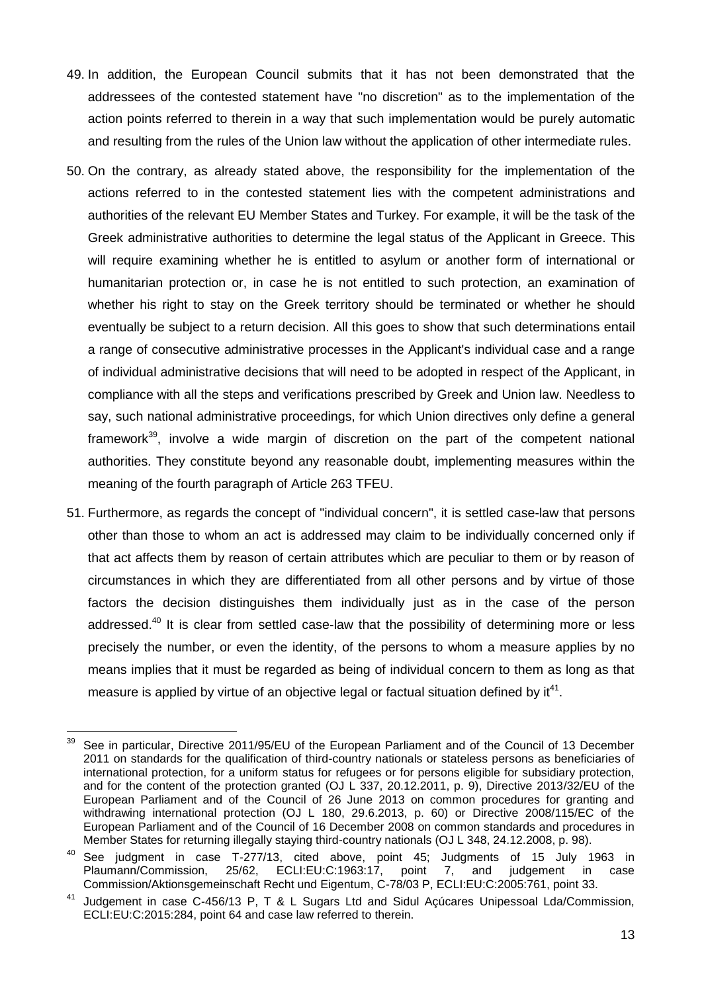- 49. In addition, the European Council submits that it has not been demonstrated that the addressees of the contested statement have "no discretion" as to the implementation of the action points referred to therein in a way that such implementation would be purely automatic and resulting from the rules of the Union law without the application of other intermediate rules.
- 50. On the contrary, as already stated above, the responsibility for the implementation of the actions referred to in the contested statement lies with the competent administrations and authorities of the relevant EU Member States and Turkey. For example, it will be the task of the Greek administrative authorities to determine the legal status of the Applicant in Greece. This will require examining whether he is entitled to asylum or another form of international or humanitarian protection or, in case he is not entitled to such protection, an examination of whether his right to stay on the Greek territory should be terminated or whether he should eventually be subject to a return decision. All this goes to show that such determinations entail a range of consecutive administrative processes in the Applicant's individual case and a range of individual administrative decisions that will need to be adopted in respect of the Applicant, in compliance with all the steps and verifications prescribed by Greek and Union law. Needless to say, such national administrative proceedings, for which Union directives only define a general framework<sup>39</sup>, involve a wide margin of discretion on the part of the competent national authorities. They constitute beyond any reasonable doubt, implementing measures within the meaning of the fourth paragraph of Article 263 TFEU.
- 51. Furthermore, as regards the concept of "individual concern", it is settled case-law that persons other than those to whom an act is addressed may claim to be individually concerned only if that act affects them by reason of certain attributes which are peculiar to them or by reason of circumstances in which they are differentiated from all other persons and by virtue of those factors the decision distinguishes them individually just as in the case of the person addressed.<sup>40</sup> It is clear from settled case-law that the possibility of determining more or less precisely the number, or even the identity, of the persons to whom a measure applies by no means implies that it must be regarded as being of individual concern to them as long as that measure is applied by virtue of an objective legal or factual situation defined by it $41$ .

 $39\,$ See in particular, Directive 2011/95/EU of the European Parliament and of the Council of 13 December 2011 on standards for the qualification of third-country nationals or stateless persons as beneficiaries of international protection, for a uniform status for refugees or for persons eligible for subsidiary protection, and for the content of the protection granted (OJ L 337, 20.12.2011, p. 9), Directive 2013/32/EU of the European Parliament and of the Council of 26 June 2013 on common procedures for granting and withdrawing international protection (OJ L 180, 29.6.2013, p. 60) or Directive 2008/115/EC of the European Parliament and of the Council of 16 December 2008 on common standards and procedures in Member States for returning illegally staying third-country nationals (OJ L 348, 24.12.2008, p. 98).

<sup>40</sup> See judgment in case T-277/13, cited above, point 45; Judgments of 15 July 1963 in Plaumann/Commission, 25/62, ECLI:EU:C:1963:17, point 7, and judgement in case Commission/Aktionsgemeinschaft Recht und Eigentum, C-78/03 P, ECLI:EU:C:2005:761, point 33.

<sup>&</sup>lt;sup>41</sup> Judgement in case C-456/13 P, T & L Sugars Ltd and Sidul Açúcares Unipessoal Lda/Commission, ECLI:EU:C:2015:284, point 64 and case law referred to therein.